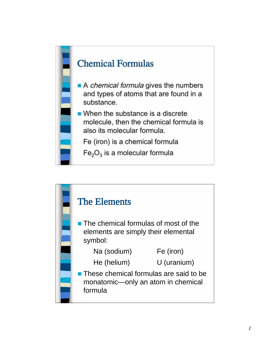

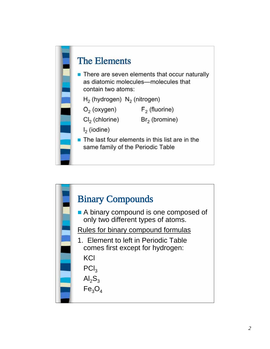

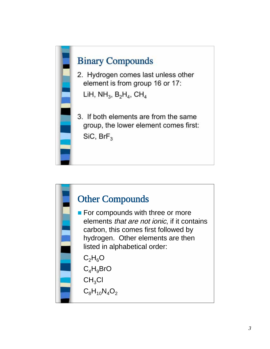

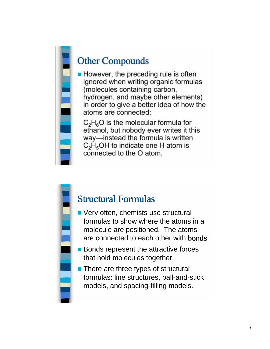## Other Compounds

 $\blacksquare$  However, the preceding rule is often ignored when writing organic formulas (molecules containing carbon, hydrogen, and maybe other elements) in order to give a better idea of how the atoms are connected:

 $C_2H_6O$  is the molecular formula for ethanol, but nobody ever writes it this way—instead the formula is written  $C_2H_5OH$  to indicate one H atom is connected to the O atom.

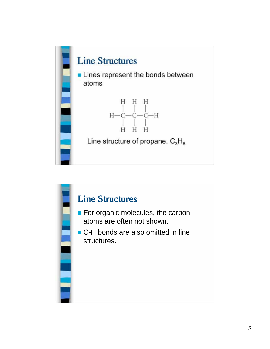

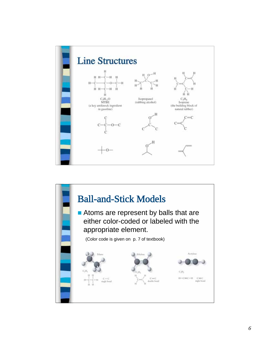

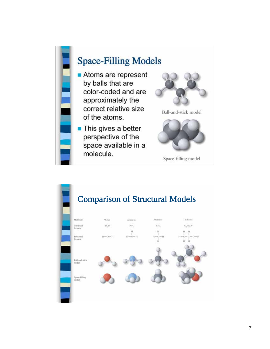

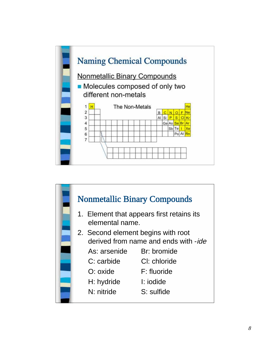

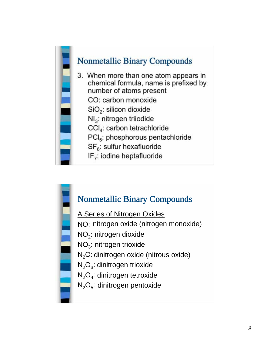

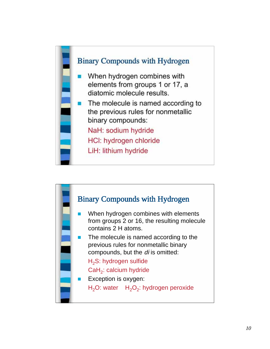

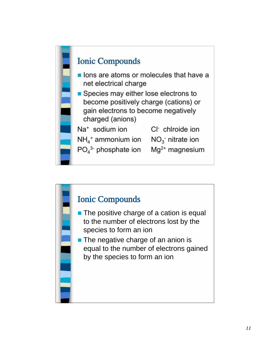

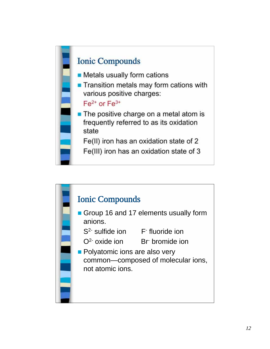

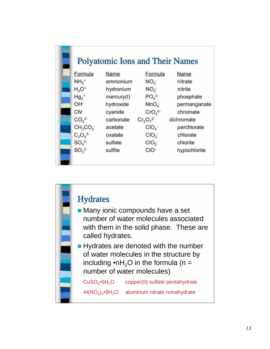

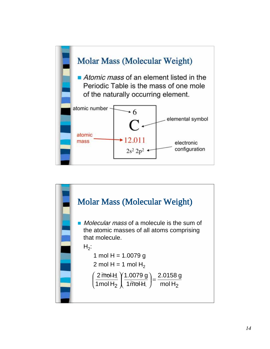

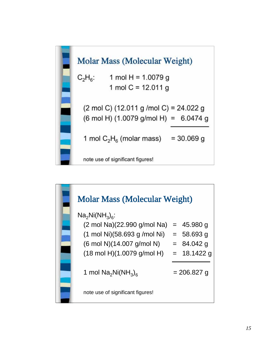

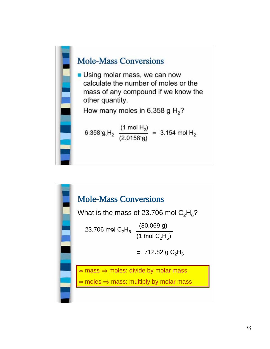

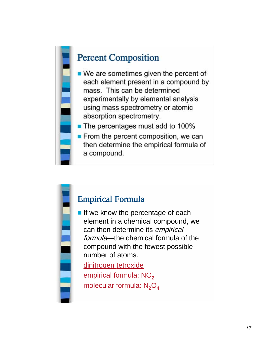

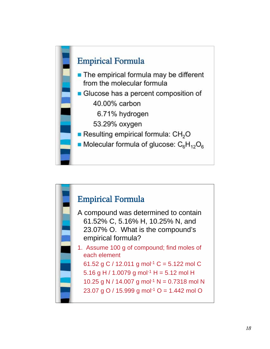